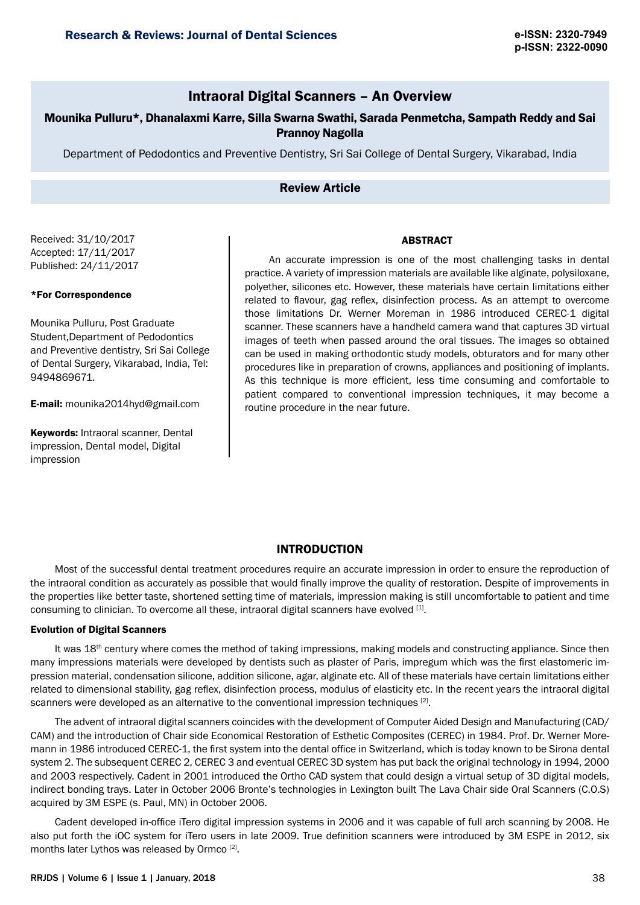# Intraoral Digital Scanners – An Overview

# Mounika Pulluru\*, Dhanalaxmi Karre, Silla Swarna Swathi, Sarada Penmetcha, Sampath Reddy and Sai Prannoy Nagolla

Department of Pedodontics and Preventive Dentistry, Sri Sai College of Dental Surgery, Vikarabad, India

# Review Article

Received: 31/10/2017 Accepted: 17/11/2017 Published: 24/11/2017

#### \*For Correspondence

Mounika Pulluru, Post Graduate Student,Department of Pedodontics and Preventive dentistry, Sri Sai College of Dental Surgery, Vikarabad, India, Tel: 9494869671.

E-mail: mounika2014hyd@gmail.com

Keywords: Intraoral scanner, Dental impression, Dental model, Digital impression

An accurate impression is one of the most challenging tasks in dental practice. A variety of impression materials are available like alginate, polysiloxane, polyether, silicones etc. However, these materials have certain limitations either related to flavour, gag reflex, disinfection process. As an attempt to overcome those limitations Dr. Werner Moreman in 1986 introduced CEREC-1 digital scanner. These scanners have a handheld camera wand that captures 3D virtual images of teeth when passed around the oral tissues. The images so obtained can be used in making orthodontic study models, obturators and for many other procedures like in preparation of crowns, appliances and positioning of implants. As this technique is more efficient, less time consuming and comfortable to patient compared to conventional impression techniques, it may become a routine procedure in the near future.

# INTRODUCTION

Most of the successful dental treatment procedures require an accurate impression in order to ensure the reproduction of the intraoral condition as accurately as possible that would finally improve the quality of restoration. Despite of improvements in the properties like better taste, shortened setting time of materials, impression making is still uncomfortable to patient and time consuming to clinician. To overcome all these, intraoral digital scanners have evolved [1].

# Evolution of Digital Scanners

It was 18<sup>th</sup> century where comes the method of taking impressions, making models and constructing appliance. Since then many impressions materials were developed by dentists such as plaster of Paris, impregum which was the first elastomeric impression material, condensation silicone, addition silicone, agar, alginate etc. All of these materials have certain limitations either related to dimensional stability, gag reflex, disinfection process, modulus of elasticity etc. In the recent years the intraoral digital scanners were developed as an alternative to the conventional impression techniques  $^{[2]}$ .

The advent of intraoral digital scanners coincides with the development of Computer Aided Design and Manufacturing (CAD/ CAM) and the introduction of Chair side Economical Restoration of Esthetic Composites (CEREC) in 1984. Prof. Dr. Werner Moremann in 1986 introduced CEREC-1, the first system into the dental office in Switzerland, which is today known to be Sirona dental system 2. The subsequent CEREC 2, CEREC 3 and eventual CEREC 3D system has put back the original technology in 1994, 2000 and 2003 respectively. Cadent in 2001 introduced the Ortho CAD system that could design a virtual setup of 3D digital models, indirect bonding trays. Later in October 2006 Bronte's technologies in Lexington built The Lava Chair side Oral Scanners (C.O.S) acquired by 3M ESPE (s. Paul, MN) in October 2006.

Cadent developed in-office iTero digital impression systems in 2006 and it was capable of full arch scanning by 2008. He also put forth the iOC system for iTero users in late 2009. True definition scanners were introduced by 3M ESPE in 2012, six months later Lythos was released by Ormco [2].

# ABSTRACT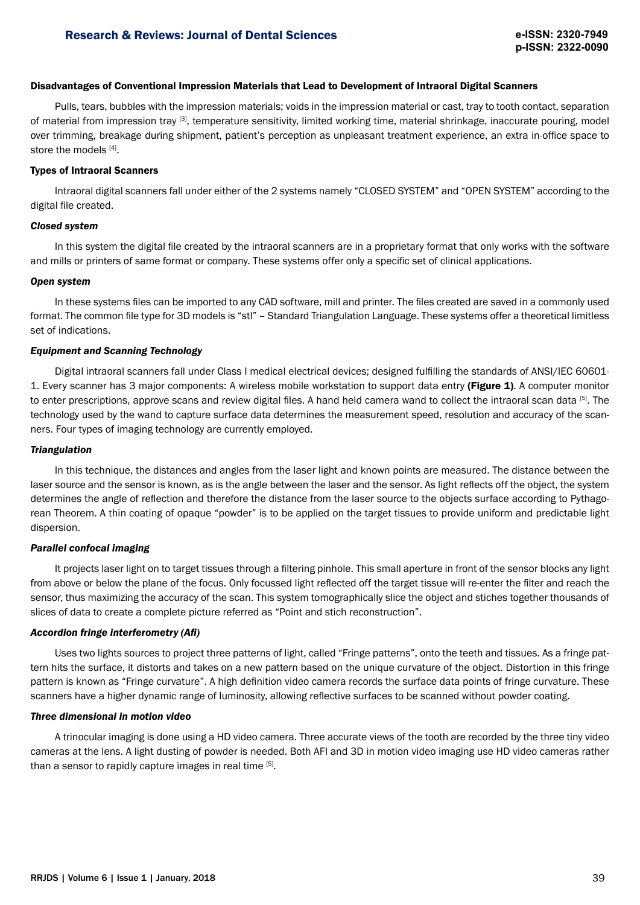# Disadvantages of Conventional Impression Materials that Lead to Development of Intraoral Digital Scanners

Pulls, tears, bubbles with the impression materials; voids in the impression material or cast, tray to tooth contact, separation of material from impression tray [3], temperature sensitivity, limited working time, material shrinkage, inaccurate pouring, model over trimming, breakage during shipment, patient's perception as unpleasant treatment experience, an extra in-office space to store the models [4].

#### Types of Intraoral Scanners

Intraoral digital scanners fall under either of the 2 systems namely "CLOSED SYSTEM" and "OPEN SYSTEM" according to the digital file created.

## *Closed system*

In this system the digital file created by the intraoral scanners are in a proprietary format that only works with the software and mills or printers of same format or company. These systems offer only a specific set of clinical applications.

# *Open system*

In these systems files can be imported to any CAD software, mill and printer. The files created are saved in a commonly used format. The common file type for 3D models is "stl" – Standard Triangulation Language. These systems offer a theoretical limitless set of indications.

# *Equipment and Scanning Technology*

Digital intraoral scanners fall under Class I medical electrical devices; designed fulfilling the standards of ANSI/IEC 60601- 1. Every scanner has 3 major components: A wireless mobile workstation to support data entry (Figure 1). A computer monitor to enter prescriptions, approve scans and review digital files. A hand held camera wand to collect the intraoral scan data [5]. The technology used by the wand to capture surface data determines the measurement speed, resolution and accuracy of the scanners. Four types of imaging technology are currently employed.

#### *Triangulation*

In this technique, the distances and angles from the laser light and known points are measured. The distance between the laser source and the sensor is known, as is the angle between the laser and the sensor. As light reflects off the object, the system determines the angle of reflection and therefore the distance from the laser source to the objects surface according to Pythagorean Theorem. A thin coating of opaque "powder" is to be applied on the target tissues to provide uniform and predictable light dispersion.

# *Parallel confocal imaging*

It projects laser light on to target tissues through a filtering pinhole. This small aperture in front of the sensor blocks any light from above or below the plane of the focus. Only focussed light reflected off the target tissue will re-enter the filter and reach the sensor, thus maximizing the accuracy of the scan. This system tomographically slice the object and stiches together thousands of slices of data to create a complete picture referred as "Point and stich reconstruction".

# *Accordion fringe interferometry (Afi)*

Uses two lights sources to project three patterns of light, called "Fringe patterns", onto the teeth and tissues. As a fringe pattern hits the surface, it distorts and takes on a new pattern based on the unique curvature of the object. Distortion in this fringe pattern is known as "Fringe curvature". A high definition video camera records the surface data points of fringe curvature. These scanners have a higher dynamic range of luminosity, allowing reflective surfaces to be scanned without powder coating.

#### *Three dimensional in motion video*

A trinocular imaging is done using a HD video camera. Three accurate views of the tooth are recorded by the three tiny video cameras at the lens. A light dusting of powder is needed. Both AFI and 3D in motion video imaging use HD video cameras rather than a sensor to rapidly capture images in real time [5].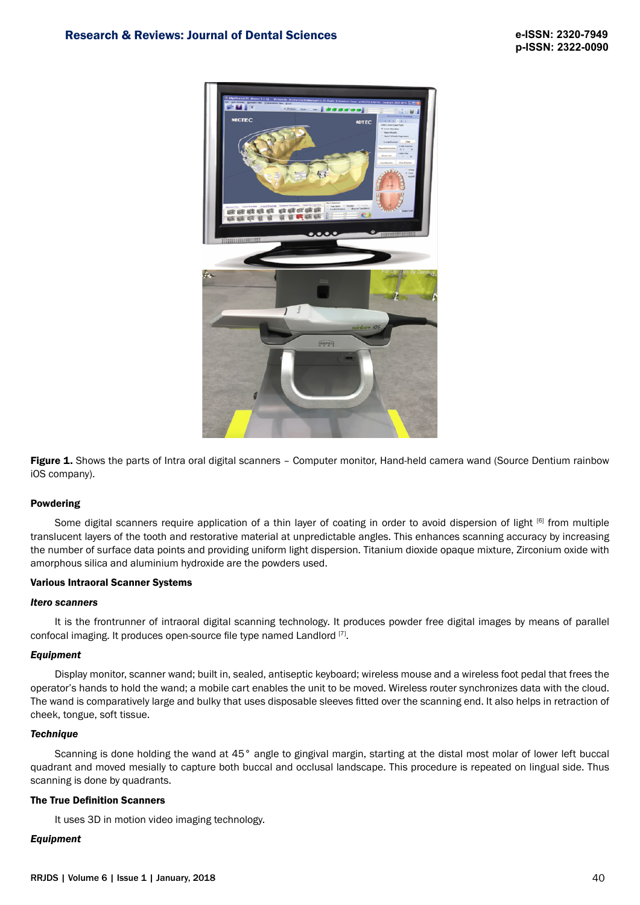

Figure 1. Shows the parts of Intra oral digital scanners - Computer monitor, Hand-held camera wand (Source Dentium rainbow iOS company).

# Powdering

Some digital scanners require application of a thin layer of coating in order to avoid dispersion of light [6] from multiple translucent layers of the tooth and restorative material at unpredictable angles. This enhances scanning accuracy by increasing the number of surface data points and providing uniform light dispersion. Titanium dioxide opaque mixture, Zirconium oxide with amorphous silica and aluminium hydroxide are the powders used.

# Various Intraoral Scanner Systems

# *Itero scanners*

It is the frontrunner of intraoral digital scanning technology. It produces powder free digital images by means of parallel confocal imaging. It produces open-source file type named Landlord [7].

# *Equipment*

Display monitor, scanner wand; built in, sealed, antiseptic keyboard; wireless mouse and a wireless foot pedal that frees the operator's hands to hold the wand; a mobile cart enables the unit to be moved. Wireless router synchronizes data with the cloud. The wand is comparatively large and bulky that uses disposable sleeves fitted over the scanning end. It also helps in retraction of cheek, tongue, soft tissue.

# *Technique*

Scanning is done holding the wand at 45° angle to gingival margin, starting at the distal most molar of lower left buccal quadrant and moved mesially to capture both buccal and occlusal landscape. This procedure is repeated on lingual side. Thus scanning is done by quadrants.

# The True Definition Scanners

It uses 3D in motion video imaging technology.

# *Equipment*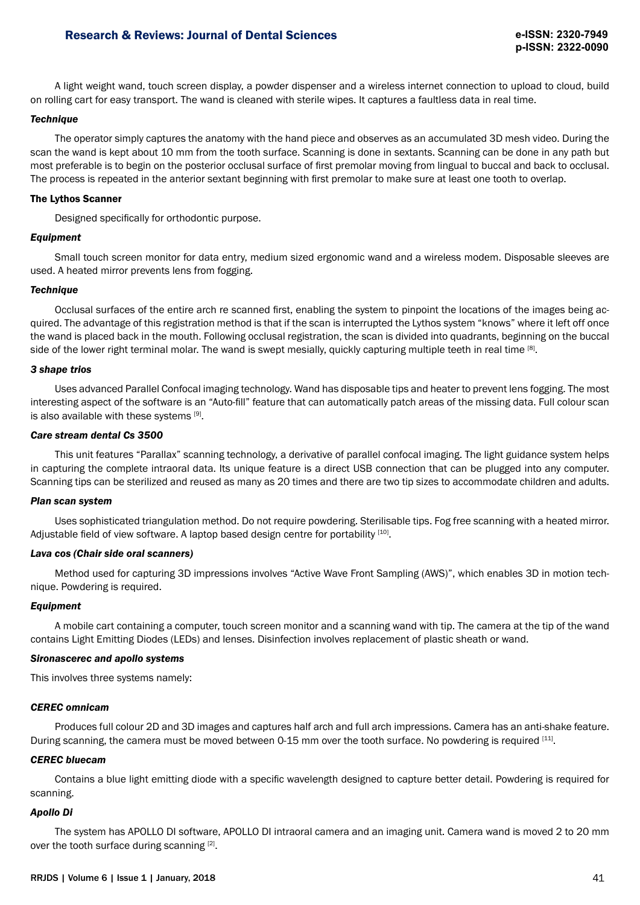# Research & Reviews: Journal of Dental Sciences

A light weight wand, touch screen display, a powder dispenser and a wireless internet connection to upload to cloud, build on rolling cart for easy transport. The wand is cleaned with sterile wipes. It captures a faultless data in real time.

# *Technique*

The operator simply captures the anatomy with the hand piece and observes as an accumulated 3D mesh video. During the scan the wand is kept about 10 mm from the tooth surface. Scanning is done in sextants. Scanning can be done in any path but most preferable is to begin on the posterior occlusal surface of first premolar moving from lingual to buccal and back to occlusal. The process is repeated in the anterior sextant beginning with first premolar to make sure at least one tooth to overlap.

# The Lythos Scanner

Designed specifically for orthodontic purpose.

# *Equipment*

Small touch screen monitor for data entry, medium sized ergonomic wand and a wireless modem. Disposable sleeves are used. A heated mirror prevents lens from fogging.

# *Technique*

Occlusal surfaces of the entire arch re scanned first, enabling the system to pinpoint the locations of the images being acquired. The advantage of this registration method is that if the scan is interrupted the Lythos system "knows" where it left off once the wand is placed back in the mouth. Following occlusal registration, the scan is divided into quadrants, beginning on the buccal side of the lower right terminal molar. The wand is swept mesially, quickly capturing multiple teeth in real time [8].

# *3 shape trios*

Uses advanced Parallel Confocal imaging technology. Wand has disposable tips and heater to prevent lens fogging. The most interesting aspect of the software is an "Auto-fill" feature that can automatically patch areas of the missing data. Full colour scan is also available with these systems [9].

# *Care stream dental Cs 3500*

This unit features "Parallax" scanning technology, a derivative of parallel confocal imaging. The light guidance system helps in capturing the complete intraoral data. Its unique feature is a direct USB connection that can be plugged into any computer. Scanning tips can be sterilized and reused as many as 20 times and there are two tip sizes to accommodate children and adults.

# *Plan scan system*

Uses sophisticated triangulation method. Do not require powdering. Sterilisable tips. Fog free scanning with a heated mirror. Adjustable field of view software. A laptop based design centre for portability [10].

# *Lava cos (Chair side oral scanners)*

Method used for capturing 3D impressions involves "Active Wave Front Sampling (AWS)", which enables 3D in motion technique. Powdering is required.

# *Equipment*

A mobile cart containing a computer, touch screen monitor and a scanning wand with tip. The camera at the tip of the wand contains Light Emitting Diodes (LEDs) and lenses. Disinfection involves replacement of plastic sheath or wand.

# *Sironascerec and apollo systems*

This involves three systems namely:

# *CEREC omnicam*

Produces full colour 2D and 3D images and captures half arch and full arch impressions. Camera has an anti-shake feature. During scanning, the camera must be moved between 0-15 mm over the tooth surface. No powdering is required [11].

# *CEREC bluecam*

Contains a blue light emitting diode with a specific wavelength designed to capture better detail. Powdering is required for scanning.

# *Apollo Di*

The system has APOLLO DI software, APOLLO DI intraoral camera and an imaging unit. Camera wand is moved 2 to 20 mm over the tooth surface during scanning [2].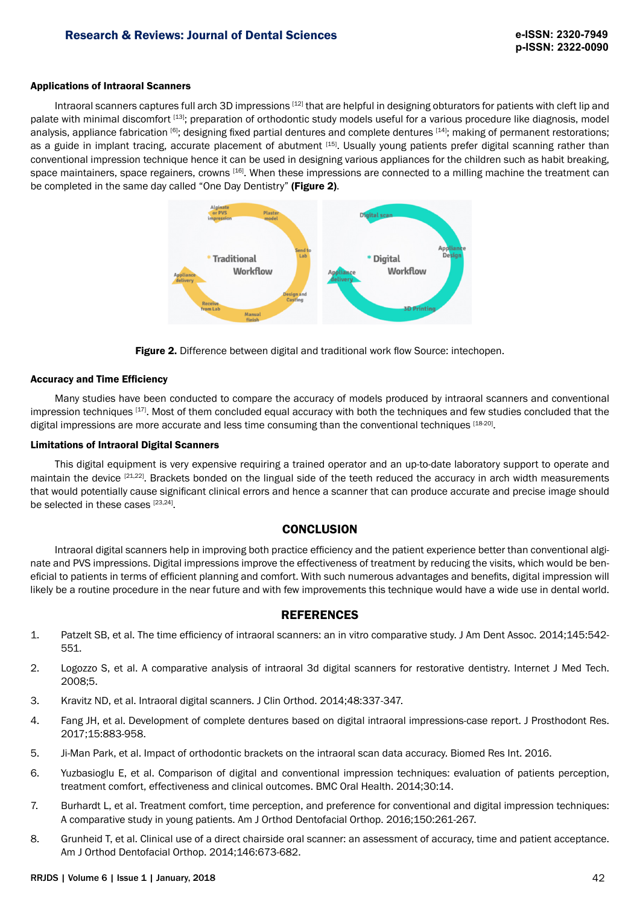# Applications of Intraoral Scanners

Intraoral scanners captures full arch 3D impressions [12] that are helpful in designing obturators for patients with cleft lip and palate with minimal discomfort [13]; preparation of orthodontic study models useful for a various procedure like diagnosis, model analysis, appliance fabrication [6]; designing fixed partial dentures and complete dentures [14]; making of permanent restorations; as a guide in implant tracing, accurate placement of abutment [15]. Usually young patients prefer digital scanning rather than conventional impression technique hence it can be used in designing various appliances for the children such as habit breaking, space maintainers, space regainers, crowns [16]. When these impressions are connected to a milling machine the treatment can be completed in the same day called "One Day Dentistry" (Figure 2).





# Accuracy and Time Efficiency

Many studies have been conducted to compare the accuracy of models produced by intraoral scanners and conventional impression techniques [17]. Most of them concluded equal accuracy with both the techniques and few studies concluded that the digital impressions are more accurate and less time consuming than the conventional techniques [18-20].

# Limitations of Intraoral Digital Scanners

This digital equipment is very expensive requiring a trained operator and an up-to-date laboratory support to operate and maintain the device <sup>[21,22]</sup>. Brackets bonded on the lingual side of the teeth reduced the accuracy in arch width measurements that would potentially cause significant clinical errors and hence a scanner that can produce accurate and precise image should be selected in these cases [23,24].

# **CONCLUSION**

Intraoral digital scanners help in improving both practice efficiency and the patient experience better than conventional alginate and PVS impressions. Digital impressions improve the effectiveness of treatment by reducing the visits, which would be beneficial to patients in terms of efficient planning and comfort. With such numerous advantages and benefits, digital impression will likely be a routine procedure in the near future and with few improvements this technique would have a wide use in dental world.

# REFERENCES

- 1. Patzelt SB, et al. The time efficiency of intraoral scanners: an in vitro comparative study. J Am Dent Assoc. 2014;145:542- 551.
- 2. Logozzo S, et al. A comparative analysis of intraoral 3d digital scanners for restorative dentistry. Internet J Med Tech. 2008;5.
- 3. Kravitz ND, et al. Intraoral digital scanners. J Clin Orthod. 2014;48:337-347.
- 4. Fang JH, et al. Development of complete dentures based on digital intraoral impressions-case report. J Prosthodont Res. 2017;15:883-958.
- 5. Ji-Man Park, et al. Impact of orthodontic brackets on the intraoral scan data accuracy. Biomed Res Int. 2016.
- 6. Yuzbasioglu E, et al. Comparison of digital and conventional impression techniques: evaluation of patients perception, treatment comfort, effectiveness and clinical outcomes. BMC Oral Health. 2014;30:14.
- 7. Burhardt L, et al. Treatment comfort, time perception, and preference for conventional and digital impression techniques: A comparative study in young patients. Am J Orthod Dentofacial Orthop. 2016;150:261-267.
- 8. Grunheid T, et al. Clinical use of a direct chairside oral scanner: an assessment of accuracy, time and patient acceptance. Am J Orthod Dentofacial Orthop. 2014;146:673-682.